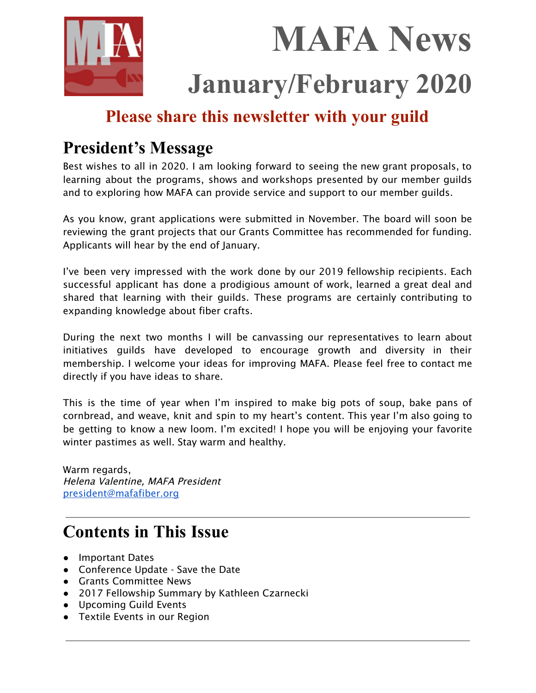

 **MAFA News January/February 2020**

# **Please share this newsletter with your guild**

# **President's Message**

Best wishes to all in 2020. I am looking forward to seeing the new grant proposals, to learning about the programs, shows and workshops presented by our member guilds and to exploring how MAFA can provide service and support to our member guilds.

As you know, grant applications were submitted in November. The board will soon be reviewing the grant projects that our Grants Committee has recommended for funding. Applicants will hear by the end of January.

I've been very impressed with the work done by our 2019 fellowship recipients. Each successful applicant has done a prodigious amount of work, learned a great deal and shared that learning with their guilds. These programs are certainly contributing to expanding knowledge about fiber crafts.

During the next two months I will be canvassing our representatives to learn about initiatives guilds have developed to encourage growth and diversity in their membership. I welcome your ideas for improving MAFA. Please feel free to contact me directly if you have ideas to share.

This is the time of year when I'm inspired to make big pots of soup, bake pans of cornbread, and weave, knit and spin to my heart's content. This year I'm also going to be getting to know a new loom. I'm excited! I hope you will be enjoying your favorite winter pastimes as well. Stay warm and healthy.

Warm regards, Helena Valentine, MAFA President [president@mafafiber.org](mailto:president@mafafiber.org)

# **Contents in This Issue**

- Important Dates
- Conference Update Save the Date
- Grants Committee News
- 2017 Fellowship Summary by Kathleen Czarnecki
- Upcoming Guild Events
- Textile Events in our Region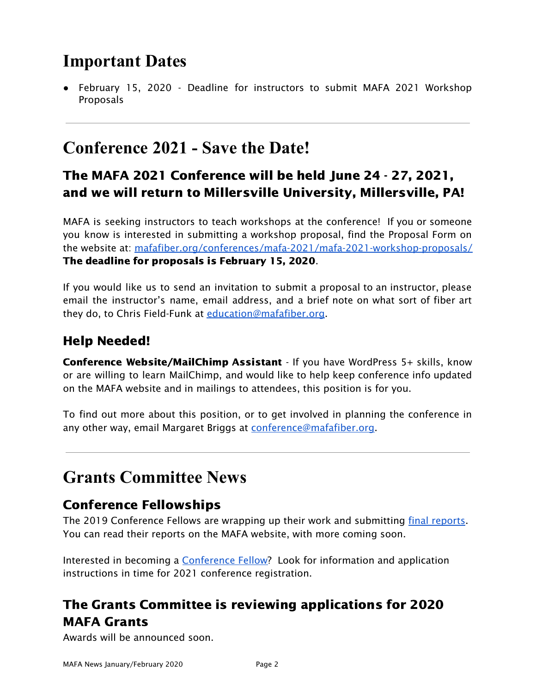# **Important Dates**

● February 15, 2020 - Deadline for instructors to submit MAFA 2021 Workshop Proposals

# **Conference 2021 - Save the Date!**

## The MAFA 2021 Conference will be held June 24 - 27, 2021, and we will return to Millersville University, Millersville, PA!

MAFA is seeking instructors to teach workshops at the conference! If you or someone you know is interested in submitting a workshop proposal, find the Proposal Form on the website at: [mafafiber.org/conferences/mafa-2021/mafa-2021-workshop-proposals/](https://mafafiber.org/conferences/mafa-2021/mafa-2021-workshop-proposals/) The deadline for proposals is February 15, 2020.

If you would like us to send an invitation to submit a proposal to an instructor, please email the instructor's name, email address, and a brief note on what sort of fiber art they do, to Chris Field-Funk at [education@mafafiber.org](mailto:education@mafafiber.org).

## Help Needed!

Conference Website/MailChimp Assistant - If you have WordPress 5+ skills, know or are willing to learn MailChimp, and would like to help keep conference info updated on the MAFA website and in mailings to attendees, this position is for you.

To find out more about this position, or to get involved in planning the conference in any other way, email Margaret Briggs at [conference@mafafiber.org.](mailto:conference@mafafiber.org)

# **Grants Committee News**

## Conference Fellowships

The 2019 Conference Fellows are wrapping up their work and submitting final [reports.](https://mafafiber.org/grants/fellowships/fellowship-awards/) You can read their reports on the MAFA website, with more coming soon.

Interested in becoming a [Conference](https://mafafiber.org/grants/fellowships/) Fellow? Look for information and application instructions in time for 2021 conference registration.

# The Grants Committee is reviewing applications for 2020 MAFA Grants

Awards will be announced soon.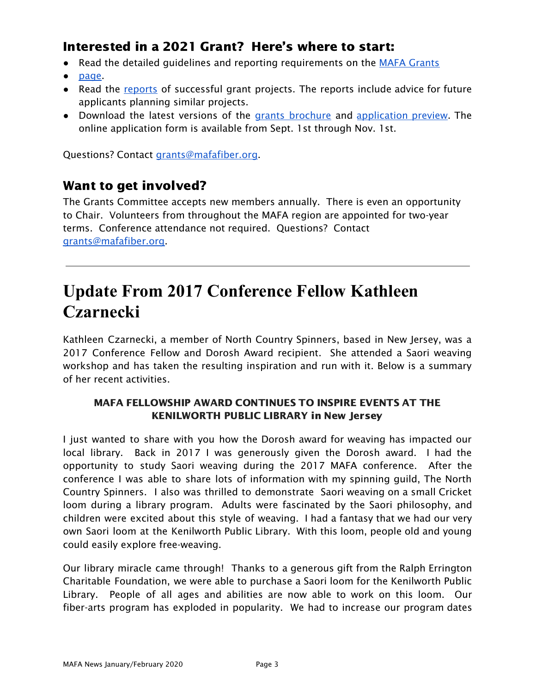## Interested in a 2021 Grant? Here's where to start:

- Read the detailed quidelines and reporting requirements on the MAFA [Grants](https://mafafiber.org/grants/guild-grants/)
- [page.](https://mafafiber.org/grants/guild-grants/)
- Read the [reports](https://mafafiber.org/grants/guild-grants/grant-awards/) of successful grant projects. The reports include advice for future applicants planning similar projects.
- Download the latest versions of the grants [brochure](https://mafafiber.org/wp-content/uploads/Grants/Grants-Brochure_0619.pdf) and [application](https://mafafiber.org/wp-content/uploads/2019/08/Forms/MAFA-GRANT-APPLICATION-Preview.pdf) preview. The online application form is available from Sept. 1st through Nov. 1st.

Questions? Contact [grants@mafafiber.org.](mailto:grants@mafafiber.org)

## Want to get involved?

The Grants Committee accepts new members annually. There is even an opportunity to Chair. Volunteers from throughout the MAFA region are appointed for two-year terms. Conference attendance not required. Questions? Contact [grants@mafafiber.org](mailto:grants@mafafiber.org).

# **Update From 2017 Conference Fellow Kathleen Czarnecki**

Kathleen Czarnecki, a member of North Country Spinners, based in New Jersey, was a 2017 Conference Fellow and Dorosh Award recipient. She attended a Saori weaving workshop and has taken the resulting inspiration and run with it. Below is a summary of her recent activities.

### MAFA FELLOWSHIP AWARD CONTINUES TO INSPIRE EVENTS AT THE KENILWORTH PUBLIC LIBRARY in New Jersey

I just wanted to share with you how the Dorosh award for weaving has impacted our local library. Back in 2017 I was generously given the Dorosh award. I had the opportunity to study Saori weaving during the 2017 MAFA conference. After the conference I was able to share lots of information with my spinning guild, The North Country Spinners. I also was thrilled to demonstrate Saori weaving on a small Cricket loom during a library program. Adults were fascinated by the Saori philosophy, and children were excited about this style of weaving. I had a fantasy that we had our very own Saori loom at the Kenilworth Public Library. With this loom, people old and young could easily explore free-weaving.

Our library miracle came through! Thanks to a generous gift from the Ralph Errington Charitable Foundation, we were able to purchase a Saori loom for the Kenilworth Public Library. People of all ages and abilities are now able to work on this loom. Our fiber-arts program has exploded in popularity. We had to increase our program dates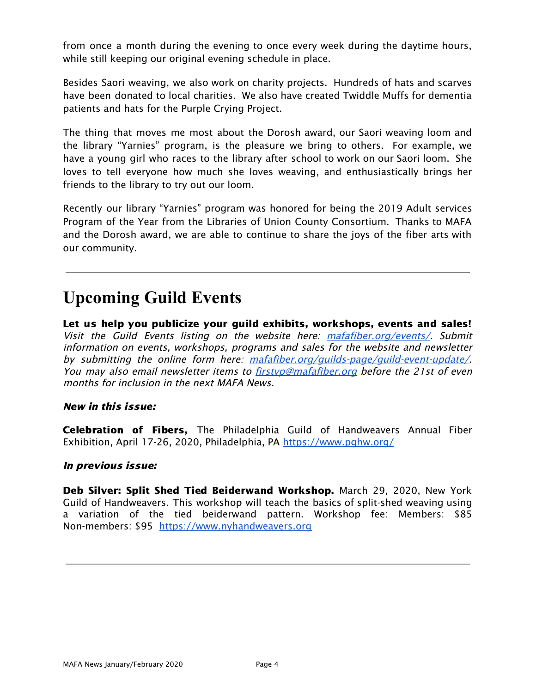from once a month during the evening to once every week during the daytime hours, while still keeping our original evening schedule in place.

Besides Saori weaving, we also work on charity projects. Hundreds of hats and scarves have been donated to local charities. We also have created Twiddle Muffs for dementia patients and hats for the Purple Crying Project.

The thing that moves me most about the Dorosh award, our Saori weaving loom and the library "Yarnies" program, is the pleasure we bring to others. For example, we have a young girl who races to the library after school to work on our Saori loom. She loves to tell everyone how much she loves weaving, and enthusiastically brings her friends to the library to try out our loom.

Recently our library "Yarnies" program was honored for being the 2019 Adult services Program of the Year from the Libraries of Union County Consortium. Thanks to MAFA and the Dorosh award, we are able to continue to share the joys of the fiber arts with our community.

# **Upcoming Guild Events**

Let us help you publicize your guild exhibits, workshops, events and sales! Visit the Guild Events listing on the website here: [mafafiber.org/events/](https://mafafiber.org/events/). Submit information on events, workshops, programs and sales for the website and newsletter by submitting the online form here: [mafafiber.org/guilds-page/guild-event-update/](https://mafafiber.org/guilds-page/guild-event-update/). You may also email newsletter items to firstyp@mafafiber.org before the 21st of even months for inclusion in the next MAFA News.

### New in this issue:

Celebration of Fibers, The Philadelphia Guild of Handweavers Annual Fiber Exhibition, April 17-26, 2020, Philadelphia, PA <https://www.pghw.org/>

#### In previous issue:

Deb Silver: Split Shed Tied Beiderwand Workshop. March 29, 2020, New York Guild of Handweavers. This workshop will teach the basics of split-shed weaving using a variation of the tied beiderwand pattern. Workshop fee: Members: \$85 Non-members: \$95 [https://www.nyhandweavers.org](https://www.nyhandweavers.org/)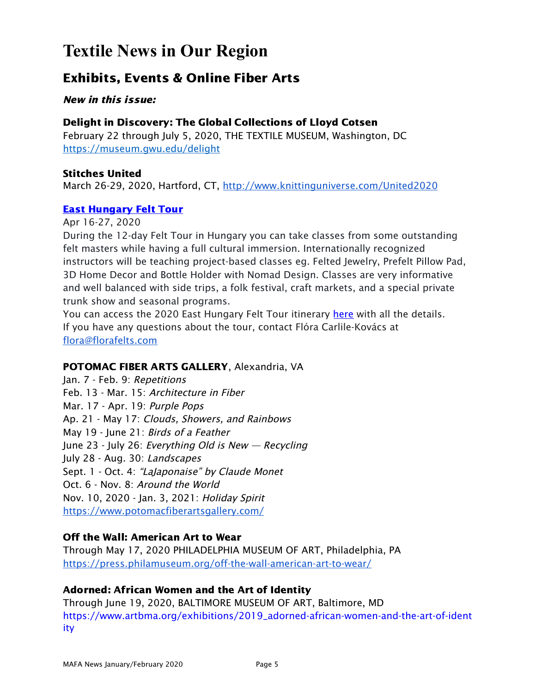# **Textile News in Our Region**

## Exhibits, Events & Online Fiber Arts

New in this issue:

### Delight in Discovery: The Global Collections of Lloyd Cotsen

February 22 through July 5, 2020, THE TEXTILE MUSEUM, Washington, DC https://museum.gwu.edu/delight

#### Stitches United

March 26-29, 2020, Hartford, CT, <http://www.knittinguniverse.com/United2020>

### East [Hungary](https://www.felttours.com/east-hungary-felt-tour) Felt Tour

Apr 16-27, 2020

During the 12-day Felt Tour in Hungary you can take classes from some outstanding felt masters while having a full cultural immersion. Internationally recognized instructors will be teaching project-based classes eg. Felted Jewelry, Prefelt Pillow Pad, 3D Home Decor and Bottle Holder with Nomad Design. Classes are very informative and well balanced with side trips, a folk festival, craft markets, and a special private trunk show and seasonal programs.

You can access the 2020 East Hungary Felt Tour itinerary [here](https://drive.google.com/file/d/10aDjuG9lws7-OtnHLOxahbHucVqyP18c/view) with all the details. If you have any questions about the tour, contact Flóra Carlile-Kovács at [flora@florafelts.com](mailto:flora@florafelts.com)

### POTOMAC FIBER ARTS GALLERY, Alexandria, VA

Jan. 7 - Feb. 9: Repetitions Feb. 13 - Mar. 15: Architecture in Fiber Mar. 17 - Apr. 19: Purple Pops Ap. 21 - May 17: Clouds, Showers, and Rainbows May 19 - June 21: Birds of <sup>a</sup> Feather June 23 - July 26: Everything Old is New  $-$  Recycling July 28 - Aug. 30: Landscapes Sept. 1 - Oct. 4: "LaJaponaise" by Claude Monet Oct. 6 - Nov. 8: Around the World Nov. 10, 2020 - Jan. 3, 2021: Holiday Spirit <https://www.potomacfiberartsgallery.com/>

### Off the Wall: American Art to Wear

Through May 17, 2020 PHILADELPHIA MUSEUM OF ART, Philadelphia, PA <https://press.philamuseum.org/off-the-wall-american-art-to-wear/>

## Adorned: African Women and the Art of Identity

Through June 19, 2020, BALTIMORE MUSEUM OF ART, Baltimore, MD [https://www.artbma.org/exhibitions/2019\\_adorned-african-women-and-the-art-of-ident](https://www.artbma.org/exhibitions/2019_adorned-african-women-and-the-art-of-identity) [ity](https://www.artbma.org/exhibitions/2019_adorned-african-women-and-the-art-of-identity)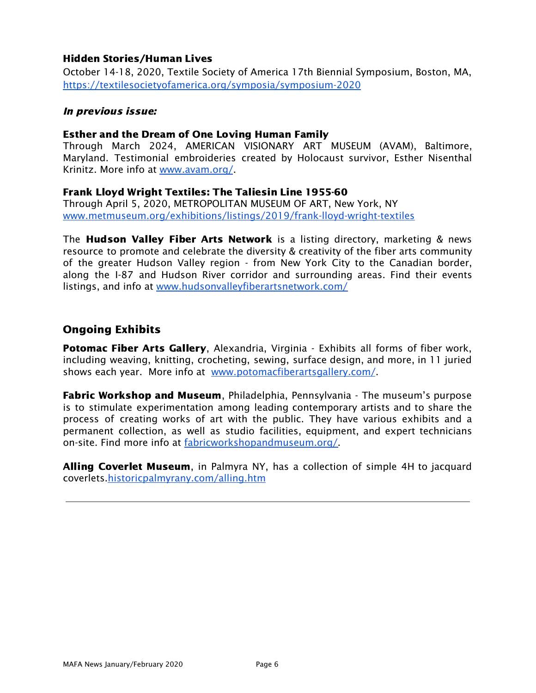#### Hidden Stories/Human Lives

October 14-18, 2020, Textile Society of America 17th Biennial Symposium, Boston, MA, <https://textilesocietyofamerica.org/symposia/symposium-2020>

#### In previous issue:

#### Esther and the Dream of One Loving Human Family

Through March 2024, AMERICAN VISIONARY ART MUSEUM (AVAM), Baltimore, Maryland. Testimonial embroideries created by Holocaust survivor, Esther Nisenthal Krinitz. More info at [www.avam.org/](http://www.avam.org/).

#### Frank Lloyd Wright Textiles: The Taliesin Line 1955-60

Through April 5, 2020, METROPOLITAN MUSEUM OF ART, New York, NY [www.metmuseum.org/exhibitions/listings/2019/frank-lloyd-wright-textiles](https://www.metmuseum.org/exhibitions/listings/2019/frank-lloyd-wright-textiles)

The **Hudson Valley Fiber Arts Network** is a listing directory, marketing & news resource to promote and celebrate the diversity & creativity of the fiber arts community of the greater Hudson Valley region - from New York City to the Canadian border, along the I-87 and Hudson River corridor and surrounding areas. Find their events listings, and info at [www.hudsonvalleyfiberartsnetwork.com/](http://www.hudsonvalleyfiberartsnetwork.com/)

### Ongoing Exhibits

**Potomac Fiber Arts Gallery, Alexandria, Virginia - Exhibits all forms of fiber work,** including weaving, knitting, crocheting, sewing, surface design, and more, in 11 juried shows each year. More info at [www.potomacfiberartsgallery.com/](http://www.potomacfiberartsgallery.com/).

**Fabric Workshop and Museum**, Philadelphia, Pennsylvania - The museum's purpose is to stimulate experimentation among leading contemporary artists and to share the process of creating works of art with the public. They have various exhibits and a permanent collection, as well as studio facilities, equipment, and expert technicians on-site. Find more info at [fabricworkshopandmuseum.org/.](http://fabricworkshopandmuseum.org/)

Alling Coverlet Museum, in Palmyra NY, has a collection of simple 4H to jacquard coverlets[.historicpalmyrany.com/alling.htm](http://historicpalmyrany.com/alling.htm)